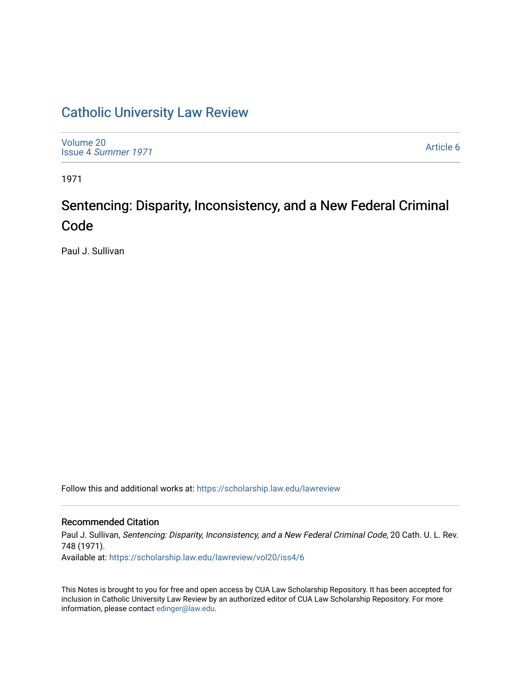## [Catholic University Law Review](https://scholarship.law.edu/lawreview)

[Volume 20](https://scholarship.law.edu/lawreview/vol20) Issue 4 [Summer 1971](https://scholarship.law.edu/lawreview/vol20/iss4) 

[Article 6](https://scholarship.law.edu/lawreview/vol20/iss4/6) 

1971

# Sentencing: Disparity, Inconsistency, and a New Federal Criminal Code

Paul J. Sullivan

Follow this and additional works at: [https://scholarship.law.edu/lawreview](https://scholarship.law.edu/lawreview?utm_source=scholarship.law.edu%2Flawreview%2Fvol20%2Fiss4%2F6&utm_medium=PDF&utm_campaign=PDFCoverPages)

#### Recommended Citation

Paul J. Sullivan, Sentencing: Disparity, Inconsistency, and a New Federal Criminal Code, 20 Cath. U. L. Rev. 748 (1971).

Available at: [https://scholarship.law.edu/lawreview/vol20/iss4/6](https://scholarship.law.edu/lawreview/vol20/iss4/6?utm_source=scholarship.law.edu%2Flawreview%2Fvol20%2Fiss4%2F6&utm_medium=PDF&utm_campaign=PDFCoverPages)

This Notes is brought to you for free and open access by CUA Law Scholarship Repository. It has been accepted for inclusion in Catholic University Law Review by an authorized editor of CUA Law Scholarship Repository. For more information, please contact [edinger@law.edu.](mailto:edinger@law.edu)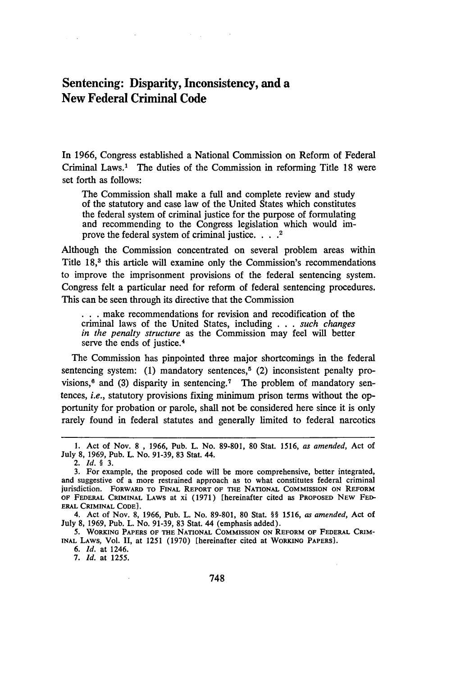### Sentencing: Disparity, Inconsistency, and a New Federal Criminal Code

 $\sim 10^{11}$ 

In **1966,** Congress established a National Commission on Reform of Federal Criminal Laws.' The duties of the Commission in reforming Title 18 were set forth as follows:

The Commission shall make a full and complete review and study of the statutory and case law of the United States which constitutes the federal system of criminal justice for the purpose of formulating and recommending to the Congress legislation which would improve the federal system of criminal justice. . . .<sup>2</sup>

Although the Commission concentrated on several problem areas within Title 18,<sup>3</sup> this article will examine only the Commission's recommendations to improve the imprisonment provisions of the federal sentencing system. Congress felt a particular need for reform of federal sentencing procedures. This can be seen through its directive that the Commission

**. . .** make recommendations for revision and recodification of the criminal laws of the United States, including . . . *such changes in the penalty structure* as the Commission may feel will better serve the ends of justice.<sup>4</sup>

The Commission has pinpointed three major shortcomings in the federal sentencing system: (1) mandatory sentences,<sup> $5$ </sup> (2) inconsistent penalty provisions, $6$  and (3) disparity in sentencing.<sup>7</sup> The problem of mandatory sentences, *i.e.,* statutory provisions fixing minimum prison terms without the opportunity for probation or parole, shall not be considered here since it is only rarely found in federal statutes and generally limited to federal narcotics

*6. Id.* at 1246.

<sup>1.</sup> Act of Nov. 8 , 1966, Pub. L. No. 89-801, 80 Stat. 1516, *as amended,* Act of July 8, 1969, Pub. L. No. 91-39, 83 Stat. 44.

<sup>2.</sup> *Id. §* 3.

<sup>3.</sup> For example, the proposed code will be more comprehensive, better integrated, and suggestive of a more restrained approach as to what constitutes federal criminal jurisdiction. FORWARD TO **FINAL** REPORT **OF THE NATIONAL COMMISSION ON REFORM** OF **FEDERAL** CRIMINAL LAWS at xi (1971) [hereinafter cited as PROPOSED **NEW FED-ERAL CRIMINAL CODE].**

<sup>4.</sup> Act **of Nov.** 8, 1966, Pub. L. No. 89-801, 80 Stat. *§§ 1516, as amended,* Act **of** July 8, 1969, Pub. L. No. 91-39, **83** Stat. 44 (emphasis added).

**<sup>5.</sup> WORKING PAPERS OF THE NATIONAL COMMISSION ON REFORM OF FEDERAL CRIM-INAL LAWS,** Vol. II, at **1251** (1970) **[hereinafter** cited at **WORKINO PAPERS].**

<sup>7.</sup> *Id.* at 1255.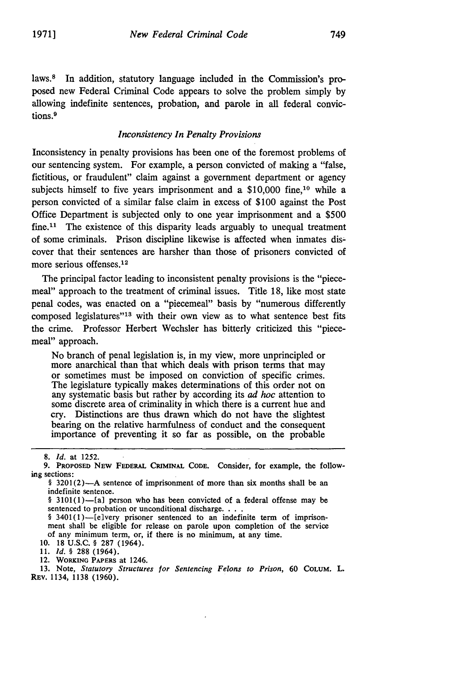laws.<sup>8</sup> In addition, statutory language included in the Commission's proposed new Federal Criminal Code appears to solve the problem simply **by** allowing indefinite sentences, probation, and parole in all federal convictions.<sup>9</sup>

#### *Inconsistency In Penalty Provisions*

Inconsistency in penalty provisions has been one of the foremost problems of our sentencing system. For example, a person convicted of making a "false, fictitious, or fraudulent" claim against a government department or agency subjects himself to five years imprisonment and a \$10,000 fine,<sup>10</sup> while a person convicted of a similar false claim in excess of **\$100** against the Post Office Department is subjected only to one year imprisonment and a **\$500**  $fine<sup>11</sup>$ . The existence of this disparity leads arguably to unequal treatment of some criminals. Prison discipline likewise is affected when inmates discover that their sentences are harsher than those of prisoners convicted of more serious offenses.1<sup>2</sup>

The principal factor leading to inconsistent penalty provisions is the "piecemeal" approach to the treatment of criminal issues. Title 18, like most state penal codes, was enacted on a "piecemeal" basis by "numerous differently composed legislatures"<sup>13</sup> with their own view as to what sentence best fits the crime. Professor Herbert Wechsler has bitterly criticized this "piecemeal" approach.

No branch of penal legislation is, in my view, more unprincipled or more anarchical than that which deals with prison terms that may or sometimes must be imposed on conviction of specific crimes. The legislature typically makes determinations of this order not on any systematic basis but rather **by** according its *ad hoc* attention to some discrete area of criminality in which there is a current hue and cry. Distinctions are thus drawn which do not have the slightest bearing on the relative harmfulness of conduct and the consequent importance of preventing it so far as possible, on the probable

**10. 18 U.S.C.** § **287** (1964).

**11.** *Id.* § **288** (1964).

12. WORKiNG PAPERS at 1246.

**13.** Note, *Statutory Structures* for *Sentencing Felons to Prison,* 60 COLUM. L. REv. 1134, 1138 (1960).

**<sup>8.</sup>** *Id.* at 1252.

**<sup>9.</sup>** PROPOSED NEW FEDERAL CRIMINAL **CODE.** Consider, for example, the following sections:

<sup>§ 3201(2)-</sup>A sentence of imprisonment of more than six months shall be an indefinite sentence.

<sup>§ 3101(1)-[</sup>a] person who has been convicted of a federal offense may be sentenced to probation or unconditional discharge. . . .

<sup>§ 3401(1)-</sup>lelvery prisoner sentenced to an indefinite term of imprisonment shall be eligible for release on parole upon completion of the service of any minimum term, or, if there is no minimum, at any time.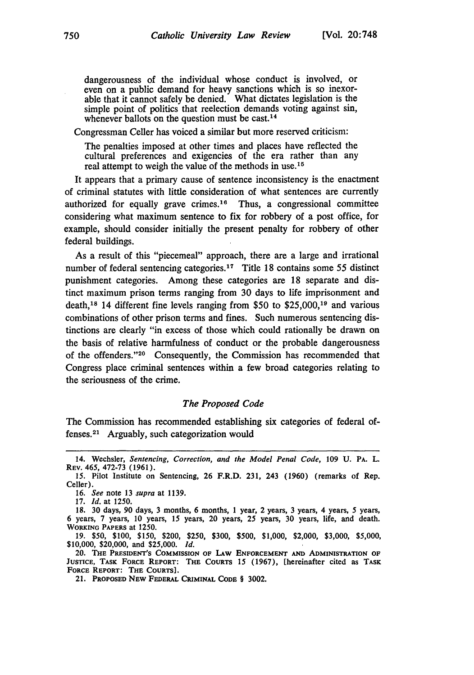dangerousness of the individual whose conduct is involved, or even on a public demand for heavy sanctions which is so inexorable that it cannot safely be denied. What dictates legislation is the simple point of politics that reelection demands voting against sin, whenever ballots on the question must be cast.<sup>14</sup>

Congressman Celler has voiced a similar but more reserved criticism:

The penalties imposed at other times and places have reflected the cultural preferences and exigencies of the era rather than any real attempt to weigh the value of the methods in use.<sup>15</sup>

It appears that a primary cause of sentence inconsistency is the enactment of criminal statutes with little consideration of what sentences are currently authorized for equally grave crimes.<sup>16</sup> Thus, a congressional committee considering what maximum sentence to fix for robbery of a post office, for example, should consider initially the present penalty for robbery of other federal buildings.

As a result of this "piecemeal" approach, there are a large and irrational number of federal sentencing categories.<sup>17</sup> Title 18 contains some 55 distinct punishment categories. Among these categories are 18 separate and distinct maximum prison terms ranging from 30 days to life imprisonment and death,<sup>18</sup> 14 different fine levels ranging from \$50 to \$25,000,<sup>19</sup> and various combinations of other prison terms and fines. Such numerous sentencing distinctions are clearly "in excess of those which could rationally be drawn on the basis of relative harmfulness of conduct or the probable dangerousness of the offenders. '20 Consequently, the Commission has recommended that Congress place criminal sentences within a few broad categories relating to the seriousness of the crime.

#### *The Proposed Code*

The Commission has recommended establishing six categories of federal offenses.2' Arguably, such categorization would

16. *See* note 13 *supra* at 1139.

17. *Id.* at 1250.

<sup>14.</sup> Wechsler, *Sentencing, Correction, and the Model Penal Code,* 109 **U. PA. L.** REV. 465, 472-73 (1961).

<sup>15.</sup> Pilot Institute on Sentencing, 26 F.R.D. 231, 243 (1960) (remarks of Rep. Celler).

**<sup>18.</sup>** 30 days, **90** days, **3** months, 6 months, 1 year, 2 years, 3 years, 4 years, 5 years, 6 years, 7 years, 10 years, **15** years, 20 years, 25 years, 30 years, life, and death. **WORKING PAPERS at** 1250.

**<sup>19. \$50, \$100, \$150,</sup>** \$200, **\$250, \$300, \$500, \$1,000,** \$2,000, **\$3,000, \$5,000, \$10,000,** \$20,000, and **\$25,000.** *Id.*

<sup>20.</sup> THE **PRESIDENT'S COMMISSION OF LAW ENFORCEMENT AND ADMINISTRATION OF JUSTICE, TASK FORCE REPORT: THE COURTS** 15 **(1967),** [hereinafter **cited as TASK FORCE REPORT: THE COURTS].**

<sup>21.</sup> **PROPOSED NEW** FEDERAL **CRIMINAL CODE** § **3002.**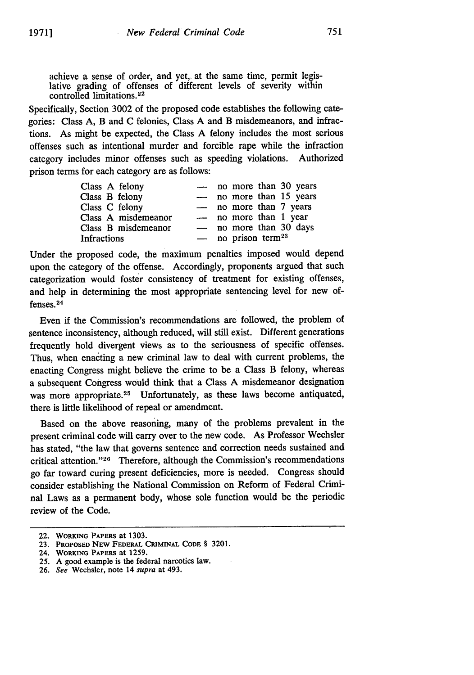achieve a sense of order, and yet, at the same time, permit legislative grading of offenses of different levels of severity within controlled limitations. <sup>22</sup>

Specifically, Section 3002 of the proposed code establishes the following categories: Class A, B and C felonies, Class A and B misdemeanors, and infractions. As might be expected, the Class A felony includes the most serious offenses such as intentional murder and forcible rape while the infraction category includes minor offenses such as speeding violations. Authorized prison terms for each category are as follows:

| Class A felony      | $\frac{1}{2}$ | no more than 30 years            |
|---------------------|---------------|----------------------------------|
| Class B felony      |               | - no more than 15 years          |
| Class C felony      |               | - no more than 7 years           |
| Class A misdemeanor |               | - no more than 1 year            |
| Class B misdemeanor |               | - no more than 30 days           |
| Infractions         |               | $-$ no prison term <sup>23</sup> |

Under the proposed code, the maximum penalties imposed would depend upon the category of the offense. Accordingly, proponents argued that such categorization would foster consistency of treatment for existing offenses, and help in determining the most appropriate sentencing level for new offenses. <sup>24</sup>

Even if the Commission's recommendations are followed, the problem of sentence inconsistency, although reduced, will still exist. Different generations frequently hold divergent views as to the seriousness of specific offenses. Thus, when enacting a new criminal law to deal with current problems, the enacting Congress might believe the crime to be a Class B felony, whereas a subsequent Congress would think that a Class A misdemeanor designation was more appropriate.<sup>25</sup> Unfortunately, as these laws become antiquated, there is little likelihood of repeal or amendment.

Based on the above reasoning, many of the problems prevalent in the present criminal code will carry over to the new code. As Professor Wechsler has stated, "the law that governs sentence and correction needs sustained and critical attention."<sup>26</sup> Therefore, although the Commission's recommendations go far toward curing present deficiencies, more is needed. Congress should consider establishing the National Commission on Reform of Federal Criminal Laws as a permanent body, whose sole function would be the periodic review of the Code.

<sup>22.</sup> WORKING PAPERS at **1303.**

**<sup>23.</sup>** PROPOSED NEW FEDERAL CRIMINAL CODE § 3201.

<sup>24.</sup> **WORKING** PAPERS at 1259.

**<sup>25.</sup>** A good example is the federal narcotics law.

**<sup>26.</sup>** See Wechsler, note 14 supra at 493.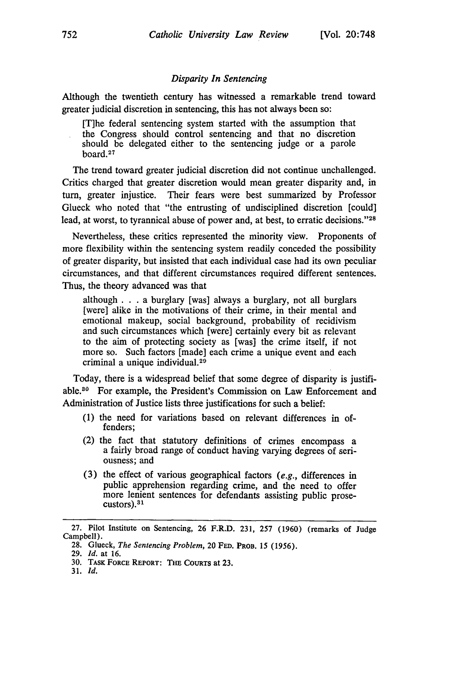#### *Disparity In Sentencing*

Although the twentieth century has witnessed a remarkable trend toward greater judicial discretion in sentencing, this has not always been so:

[T]he federal sentencing system started with the assumption that the Congress should control sentencing and that no discretion should be delegated either to the sentencing judge or a parole board. <sup>27</sup>

The trend toward greater judicial discretion did not continue unchallenged. Critics charged that greater discretion would mean greater disparity and, in turn, greater injustice. Their fears were best summarized by Professor Glueck who noted that "the entrusting of undisciplined discretion [could] lead, at worst, to tyrannical abuse of power and, at best, to erratic decisions."28

Nevertheless, these critics represented the minority view. Proponents of more flexibility within the sentencing system readily conceded the possibility of greater disparity, but insisted that each individual case had its own peculiar circumstances, and that different circumstances required different sentences. Thus, the theory advanced was that

although . . .a burglary [was] always a burglary, not all burglars [were] alike in the motivations of their crime, in their mental and emotional makeup, social background, probability of recidivism and such circumstances which [were] certainly every bit as relevant to the aim of protecting society as [was] the crime itself, if not more so. Such factors [made] each crime a unique event and each criminal a unique individual. <sup>29</sup>

Today, there is a widespread belief that some degree of disparity is justifiable.80 For example, the President's Commission on Law Enforcement and Administration of Justice lists three justifications for such a belief:

- (1) the need for variations based on relevant differences in offenders;
- (2) the fact that statutory definitions of crimes encompass a a fairly broad range of conduct having varying degrees of seriousness; and
- (3) the effect of various geographical factors *(e.g.,* differences in public apprehension regarding crime, and the need to offer more lenient sentences for defendants assisting public prose-<br>custors).<sup>31</sup>

31. *Id.*

<sup>27.</sup> Pilot Institute on Sentencing, 26 F.R.D. 231, 257 (1960) (remarks of Judge Campbell).

<sup>28.</sup> Glueck, *The Sentencing Problem,* 20 **FED.** PROB. 15 (1956).

<sup>29.</sup> *Id.* at 16.

<sup>30.</sup> TASK **FORCE REPORT: THE** CouRTs at **23.**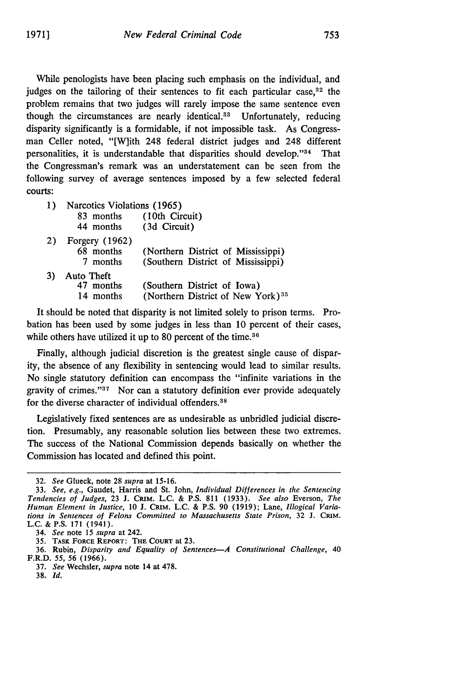While penologists have been placing such emphasis on the individual, and judges on the tailoring of their sentences to fit each particular case,<sup>32</sup> the problem remains that two judges will rarely impose the same sentence even though the circumstances are nearly identical.<sup>33</sup> Unfortunately, reducing disparity significantly is a formidable, if not impossible task. As Congressman Celler noted, "[W]ith 248 federal district judges and 248 different personalities, it is understandable that disparities should develop."<sup>34</sup> That the Congressman's remark was an understatement can be seen from the following survey of average sentences imposed by a few selected federal courts:

- 1) Narcotics Violations (1965) 83 months (10th Circuit) 44 months (3d Circuit)
- 2) Forgery (1962) 68 months (Northern District of Mississippi) 7 months (Southern District of Mississippi) 3) Auto Theft (Southern District of Iowa) 14 months (Northern District of New York) <sup>35</sup>

It should be noted that disparity is not limited solely to prison terms. Probation has been used by some judges in less than 10 percent of their cases, while others have utilized it up to 80 percent of the time.<sup>36</sup>

Finally, although judicial discretion is the greatest single cause of disparity, the absence of any flexibility in sentencing would lead to similar results. No single statutory definition can encompass the "infinite variations in the gravity of crimes." $37$  Nor can a statutory definition ever provide adequately for the diverse character of individual offenders.<sup>38</sup>

Legislatively fixed sentences are as undesirable as unbridled judicial discretion. Presumably, any reasonable solution lies between these two extremes. The success of the National Commission depends basically on whether the Commission has located and defined this point.

<sup>32.</sup> See Glueck, note 28 supra at **15-16.**

<sup>33.</sup> See, e.g., Gaudet, Harris and St. John, Individual Differences in the Sentencing Tendencies of Judges, 23 **J.** CRIM. **L.C.** & **P.S. 811** (1933). See also Everson, The Human Element in Justice, **10 J.** CRIM. **L.C.** & **P.S. 90 (1919);** Lane, Illogical Variations in Sentences of Felons Committed to Massachusetts State Prison, 32 **J. GRIM. L.C. & P.S. 171** (1941).

<sup>34.</sup> See note 15 supra at 242.

<sup>35.</sup> **TASK** FORCE REPORT: **THE COURT at 23.**

<sup>36.</sup> Rubin, Disparity and Equality of Sentences-A Constitutional Challenge, 40 F.R.D. 55, 56 **(1966).**

<sup>37.</sup> See Wechsler, supra note 14 at 478.

**<sup>38.</sup> Id.**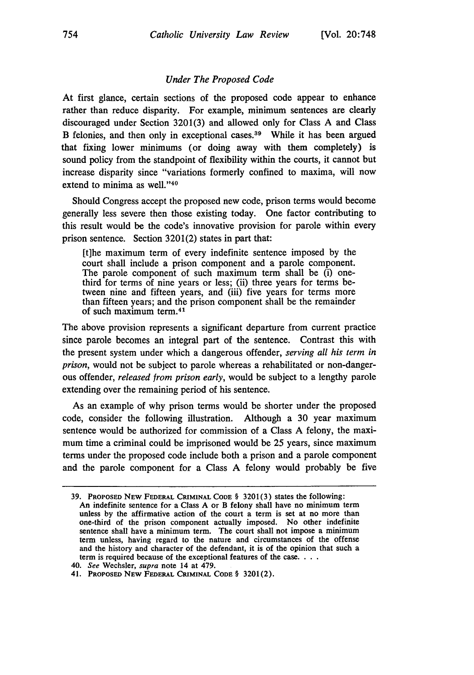#### *Under The Proposed Code*

At first glance, certain sections of the proposed code appear to enhance rather than reduce disparity. For example, minimum sentences are clearly discouraged under Section 3201(3) and allowed only for Class A and Class B felonies, and then only in exceptional cases.<sup>39</sup> While it has been argued that fixing lower minimums (or doing away with them completely) is sound policy from the standpoint of flexibility within the courts, it cannot but increase disparity since "variations formerly confined to maxima, will now extend to minima as well."<sup>40</sup>

Should Congress accept the proposed new code, prison terms would become generally less severe then those existing today. One factor contributing to this result would be the code's innovative provision for parole within every prison sentence. Section 3201(2) states in part that:

[t]he maximum term of every indefinite sentence imposed by the court shall include a prison component and a parole component. The parole component of such maximum term shall be (i) onethird for terms of nine years or less; (ii) three years for terms between nine and fifteen years, and (iii) five years for terms more than fifteen years; and the prison component shall be the remainder of such maximum term.41

The above provision represents a significant departure from current practice since parole becomes an integral part of the sentence. Contrast this with the present system under which a dangerous offender, *serving all his term in prison,* would not be subject to parole whereas a rehabilitated or non-dangerous offender, *released from prison early,* would be subject to a lengthy parole extending over the remaining period of his sentence.

As an example of why prison terms would be shorter under the proposed code, consider the following illustration. Although a 30 year maximum sentence would be authorized for commission of a Class A felony, the maximum time a criminal could be imprisoned would be 25 years, since maximum terms under the proposed code include both a prison and a parole component and the parole component for a Class A felony would probably be five

**<sup>39.</sup>** PROPOSED **NEW** FEDERAL CRIMINAL **CODE** § 3201(3) states the following: An indefinite **sentence** for a Class A or B felony shall have no minimum **term** unless **by** the affirmative action of the court a term is set at no more than one-third of the prison component actually imposed. No other indefinite sentence shall have a minimum term. The court shall not impose a minimum term unless, having regard to the nature and circumstances of the offense and the history and character of the defendant, it is of the opinion that such a term is required because of the exceptional features of the case. . **..**

**<sup>40.</sup>** See Wechsler, supra note 14 at 479.

**<sup>41.</sup> PROPOSED NEW** FEDERAL CRIMINAL **CODE** § **3201(2).**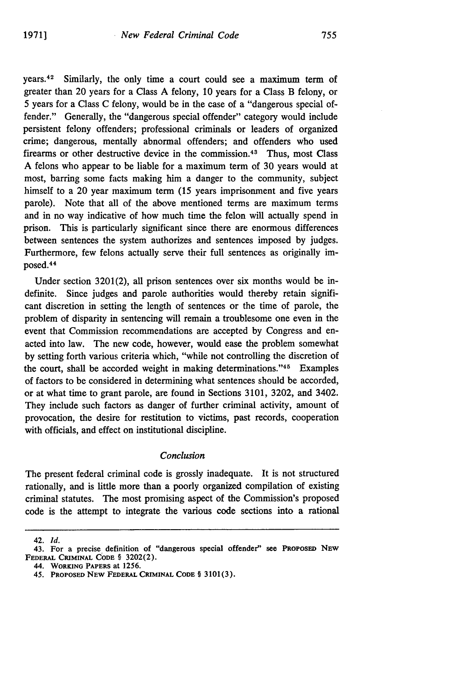years. $42$  Similarly, the only time a court could see a maximum term of greater than 20 years for a Class A felony, 10 years for a Class B felony, or 5 years for a Class C felony, would be in the case of a "dangerous special offender." Generally, the "dangerous special offender" category would include persistent felony offenders; professional criminals or leaders of organized crime; dangerous, mentally abnormal offenders; and offenders who used firearms or other destructive device in the commission.<sup>43</sup> Thus, most Class A felons who appear to be liable for a maximum term of 30 years would at most, barring some facts making him a danger to the community, subject himself to a 20 year maximum term (15 years imprisonment and five years parole). Note that all of the above mentioned terms are maximum terms and in no way indicative of how much time the felon will actually spend in prison. This is particularly significant since there are enormous differences between sentences the system authorizes and sentences imposed by judges. Furthermore, few felons actually serve their full sentences as originally imposed.<sup>44</sup>

Under section 3201(2), all prison sentences over six months would be indefinite. Since judges and parole authorities would thereby retain significant discretion in setting the length of sentences or the time of parole, the problem of disparity in sentencing will remain a troublesome one even in the event that Commission recommendations are accepted by Congress and enacted into law. The new code, however, would ease the problem somewhat by setting forth various criteria which, "while not controlling the discretion of the court, shall be accorded weight in making determinations."<sup>45</sup> Examples of factors to be considered in determining what sentences should be accorded, or at what time to grant parole, are found in Sections 3101, 3202, and 3402. They include such factors as danger of further criminal activity, amount of provocation, the desire for restitution to victims, past records, cooperation with officials, and effect on institutional discipline.

#### *Conclusion*

The present federal criminal code is grossly inadequate. It is not structured rationally, and is little more than a poorly organized compilation of existing criminal statutes. The most promising aspect of the Commission's proposed code is the attempt to integrate the various code sections into a rational

42. *Id.*

<sup>43.</sup> For a precise definition of "dangerous special offender" **see PRoPosED NEw FEDERAL** CRIMINAL **CODE §** 3202(2).

**<sup>44.</sup> WORKING PAPERS** at **1256.**

<sup>45.</sup> **PROPOSED NEw FEDERAL CRIMINAL CODE** § **3101(3).**